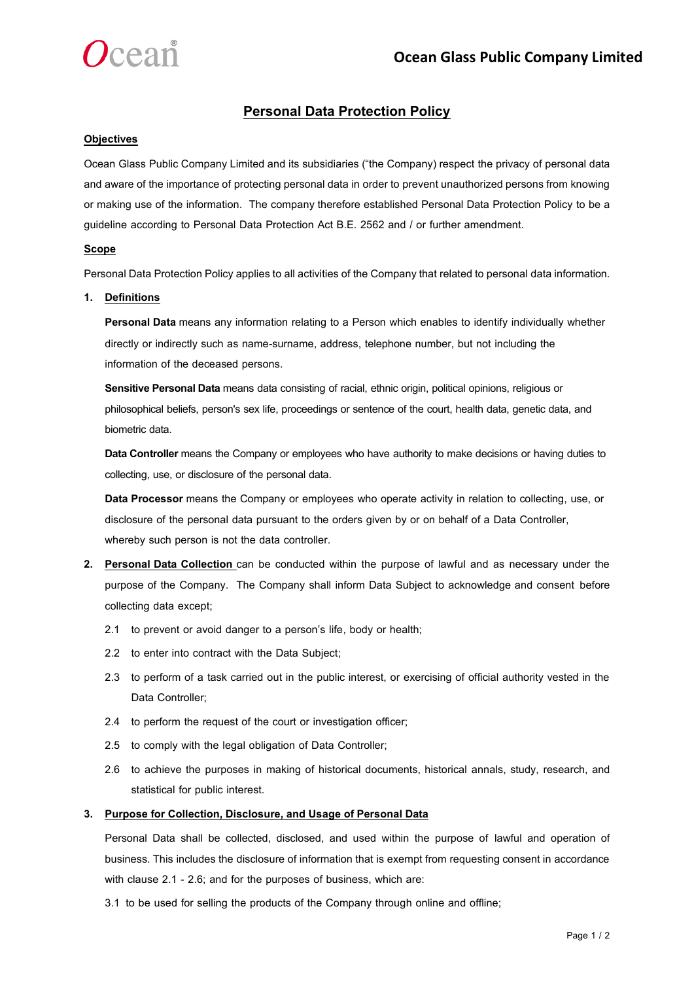

# **Personal Data Protection Policy**

### **Objectives**

Ocean Glass Public Company Limited and its subsidiaries ("the Company) respect the privacy of personal data and aware of the importance of protecting personal data in order to prevent unauthorized persons from knowing or making use of the information. The company therefore established Personal Data Protection Policy to be a guideline according to Personal Data Protection Act B.E. 2562 and / or further amendment.

## **Scope**

Personal Data Protection Policy applies to all activities of the Company that related to personal data information.

### **1. Definitions**

**Personal Data** means any information relating to a Person which enables to identify individually whether directly or indirectly such as name-surname, address, telephone number, but not including the information of the deceased persons.

**Sensitive Personal Data** means data consisting of racial, ethnic origin, political opinions, religious or philosophical beliefs, person's sex life, proceedings or sentence of the court, health data, genetic data, and biometric data.

**Data Controller** means the Company or employees who have authority to make decisions or having duties to collecting, use, or disclosure of the personal data.

**Data Processor** means the Company or employees who operate activity in relation to collecting, use, or disclosure of the personal data pursuant to the orders given by or on behalf of a Data Controller, whereby such person is not the data controller.

- **2. Personal Data Collection** can be conducted within the purpose of lawful and as necessary under the purpose of the Company. The Company shall inform Data Subject to acknowledge and consent before collecting data except;
	- 2.1 to prevent or avoid danger to a person's life, body or health;
	- 2.2 to enter into contract with the Data Subject;
	- 2.3 to perform of a task carried out in the public interest, or exercising of official authority vested in the Data Controller;
	- 2.4 to perform the request of the court or investigation officer;
	- 2.5 to comply with the legal obligation of Data Controller;
	- 2.6 to achieve the purposes in making of historical documents, historical annals, study, research, and statistical for public interest.

### **3. Purpose for Collection, Disclosure, and Usage of Personal Data**

Personal Data shall be collected, disclosed, and used within the purpose of lawful and operation of business. This includes the disclosure of information that is exempt from requesting consent in accordance with clause 2.1 - 2.6; and for the purposes of business, which are:

3.1 to be used for selling the products of the Company through online and offline;